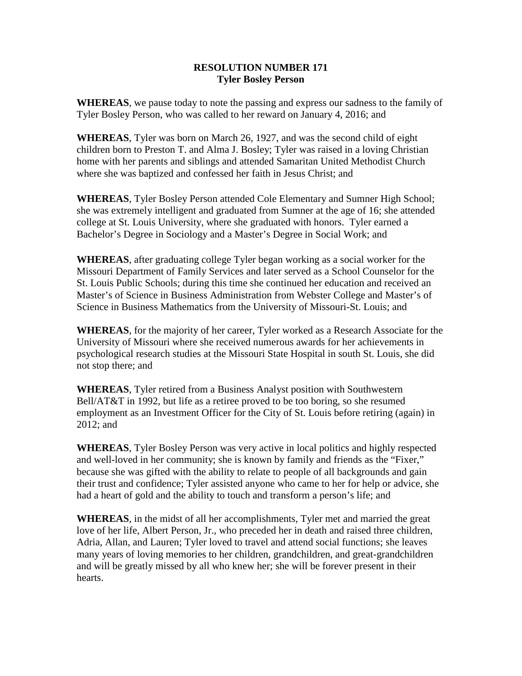## **RESOLUTION NUMBER 171 Tyler Bosley Person**

**WHEREAS**, we pause today to note the passing and express our sadness to the family of Tyler Bosley Person, who was called to her reward on January 4, 2016; and

**WHEREAS**, Tyler was born on March 26, 1927, and was the second child of eight children born to Preston T. and Alma J. Bosley; Tyler was raised in a loving Christian home with her parents and siblings and attended Samaritan United Methodist Church where she was baptized and confessed her faith in Jesus Christ; and

**WHEREAS**, Tyler Bosley Person attended Cole Elementary and Sumner High School; she was extremely intelligent and graduated from Sumner at the age of 16; she attended college at St. Louis University, where she graduated with honors. Tyler earned a Bachelor's Degree in Sociology and a Master's Degree in Social Work; and

**WHEREAS**, after graduating college Tyler began working as a social worker for the Missouri Department of Family Services and later served as a School Counselor for the St. Louis Public Schools; during this time she continued her education and received an Master's of Science in Business Administration from Webster College and Master's of Science in Business Mathematics from the University of Missouri-St. Louis; and

**WHEREAS**, for the majority of her career, Tyler worked as a Research Associate for the University of Missouri where she received numerous awards for her achievements in psychological research studies at the Missouri State Hospital in south St. Louis, she did not stop there; and

**WHEREAS**, Tyler retired from a Business Analyst position with Southwestern Bell/AT&T in 1992, but life as a retiree proved to be too boring, so she resumed employment as an Investment Officer for the City of St. Louis before retiring (again) in 2012; and

**WHEREAS**, Tyler Bosley Person was very active in local politics and highly respected and well-loved in her community; she is known by family and friends as the "Fixer," because she was gifted with the ability to relate to people of all backgrounds and gain their trust and confidence; Tyler assisted anyone who came to her for help or advice, she had a heart of gold and the ability to touch and transform a person's life; and

**WHEREAS**, in the midst of all her accomplishments, Tyler met and married the great love of her life, Albert Person, Jr., who preceded her in death and raised three children, Adria, Allan, and Lauren; Tyler loved to travel and attend social functions; she leaves many years of loving memories to her children, grandchildren, and great-grandchildren and will be greatly missed by all who knew her; she will be forever present in their hearts.